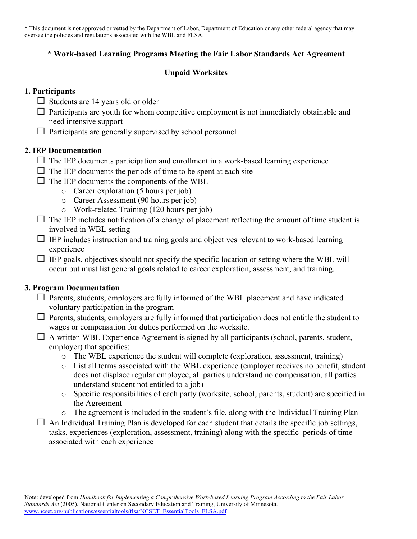\* This document is not approved or vetted by the Department of Labor, Department of Education or any other federal agency that may oversee the policies and regulations associated with the WBL and FLSA.

### **\* Work-based Learning Programs Meeting the Fair Labor Standards Act Agreement**

## **Unpaid Worksites**

### **1. Participants**

- $\Box$  Students are 14 years old or older
- $\Box$  Participants are youth for whom competitive employment is not immediately obtainable and need intensive support
- $\Box$  Participants are generally supervised by school personnel

### **2. IEP Documentation**

- $\Box$  The IEP documents participation and enrollment in a work-based learning experience
- $\Box$  The IEP documents the periods of time to be spent at each site
- $\Box$  The IEP documents the components of the WBL
	- o Career exploration (5 hours per job)
	- o Career Assessment (90 hours per job)
	- o Work-related Training (120 hours per job)
- $\Box$  The IEP includes notification of a change of placement reflecting the amount of time student is involved in WBL setting
- $\Box$  IEP includes instruction and training goals and objectives relevant to work-based learning experience
- $\Box$  IEP goals, objectives should not specify the specific location or setting where the WBL will occur but must list general goals related to career exploration, assessment, and training.

# **3. Program Documentation**

- $\Box$  Parents, students, employers are fully informed of the WBL placement and have indicated voluntary participation in the program
- $\Box$  Parents, students, employers are fully informed that participation does not entitle the student to wages or compensation for duties performed on the worksite.
- $\Box$  A written WBL Experience Agreement is signed by all participants (school, parents, student, employer) that specifies:
	- o The WBL experience the student will complete (exploration, assessment, training)
	- o List all terms associated with the WBL experience (employer receives no benefit, student does not displace regular employee, all parties understand no compensation, all parties understand student not entitled to a job)
	- o Specific responsibilities of each party (worksite, school, parents, student) are specified in the Agreement
	- o The agreement is included in the student's file, along with the Individual Training Plan
- $\Box$  An Individual Training Plan is developed for each student that details the specific job settings, tasks, experiences (exploration, assessment, training) along with the specific periods of time associated with each experience